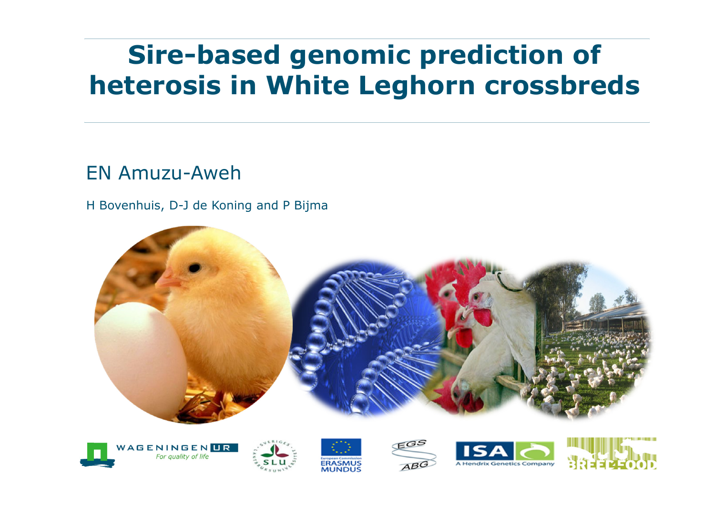# **Sire-based genomic prediction of heterosis in White Leghorn crossbreds**

#### EN Amuzu-Aweh

H Bovenhuis, D-J de Koning and P Bijma











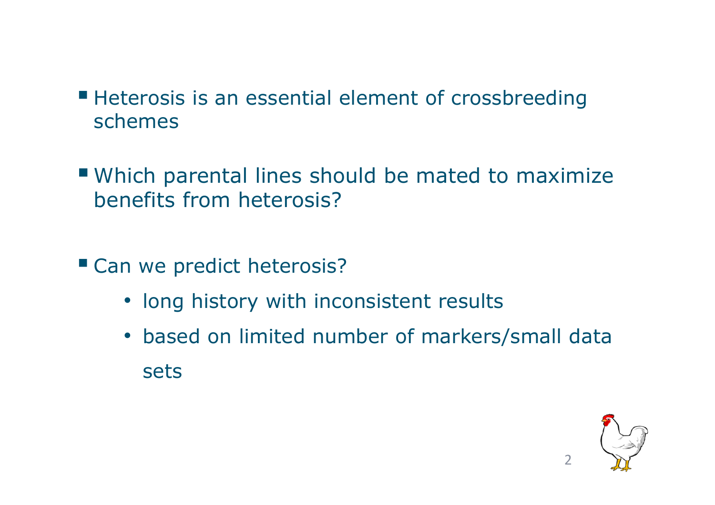- **Heterosis is an essential element of crossbreeding** schemes
- Which parental lines should be mated to maximize benefits from heterosis?
- Can we predict heterosis?
	- long history with inconsistent results
	- based on limited number of markers/small data sets

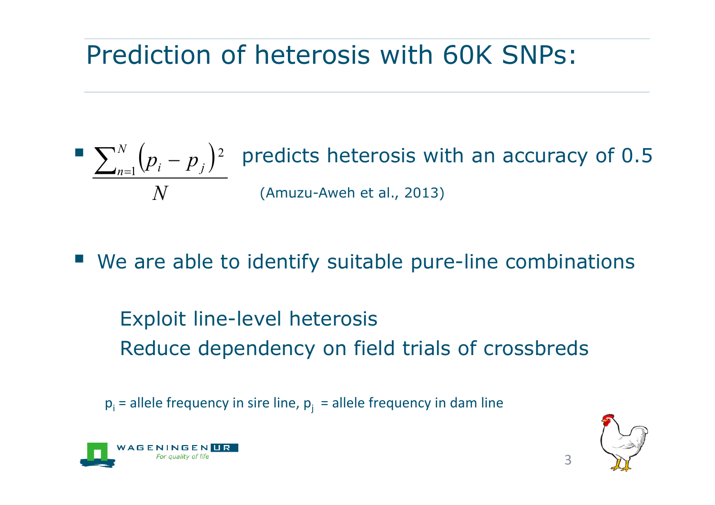# Prediction of heterosis with 60K SNPs:

 $\sum_{n=1}^{\infty}$   $\binom{n}{p}$   $\binom{n}{p}$  predicts heterosis with an accuracy of 0.5 (Amuzu-Aweh et al., 2013)  $\Big($  $\bigg)$ *N*  $p_i - p$ *N*  $\sum_{n=1}^{N} (p_i - p_j)$  $_{\rm i1}$  V $_{i}$   $-$ 2

■ We are able to identify suitable pure-line combinations

Exploit line-level heterosis Reduce dependency on field trials of crossbreds

 ${\sf p}_{\sf i}$  = allele frequency in sire line,  ${\sf p}_{\sf j}^{\vphantom{\dagger}}$  = allele frequency in dam line



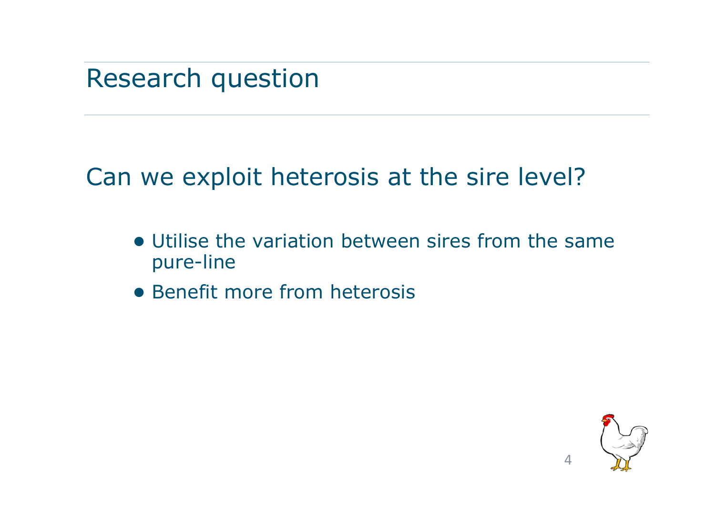Research question

Can we exploit heterosis at the sire level?

- Utilise the variation between sires from the same pure-line
- Benefit more from heterosis

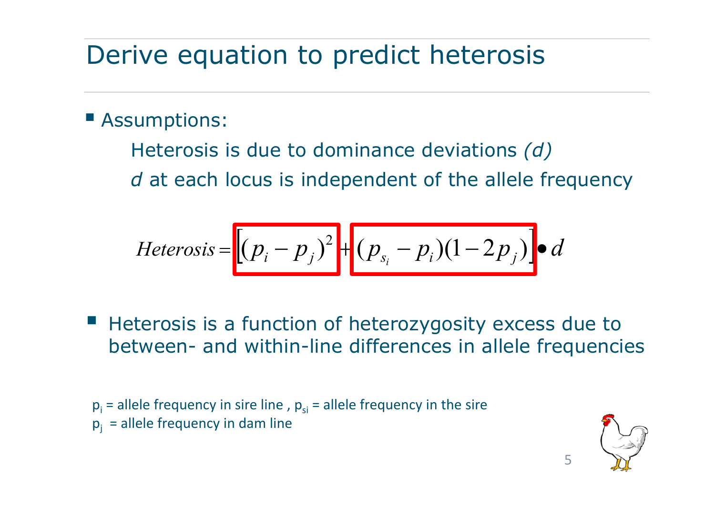## Derive equation to predict heterosis

#### **E** Assumptions:

Heterosis is due to dominance deviations *(d)*  d at each locus is independent of the allele frequency

$$
Heterosis = \left[ (p_i - p_j)^2 + (p_{s_i} - p_i)(1 - 2p_j) \right] \bullet d
$$

**Heterosis is a function of heterozygosity excess due to** between- and within-line differences in allele frequencies

 $p_i$  = allele frequency in sire line ,  $p_{si}$  = allele frequency in the sire  $p_i$  = allele frequency in dam line

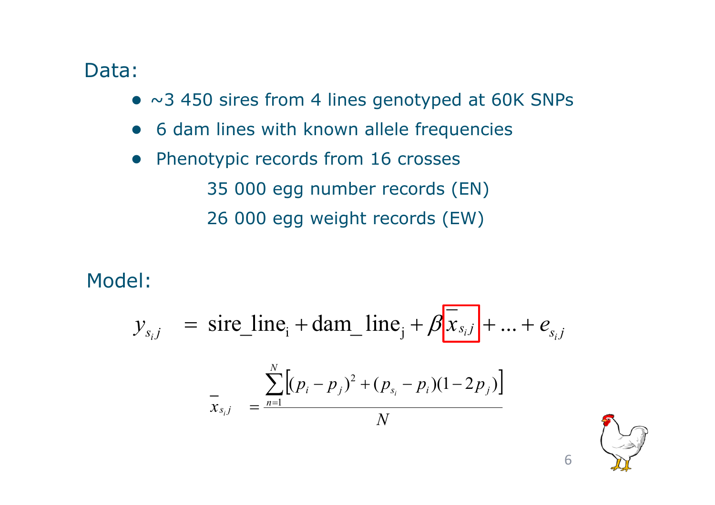#### Data:

- $\bullet$  ~3 450 sires from 4 lines genotyped at 60K SNPs
- ●6 dam lines with known allele frequencies
- ● Phenotypic records from 16 crosses 35 000 egg number records (EN) 26 000 egg weight records (EW)

Model:

$$
y_{s_i j} = \text{sire\_line}_i + \text{dam\_line}_j + \beta \overline{[x_{s_i j}]} + ... + e_{s_i j}
$$

$$
\overline{x}_{s_i j} = \frac{\sum_{n=1}^{N} [(p_i - p_j)^2 + (p_{s_i} - p_i)(1 - 2p_j)]}{N}
$$

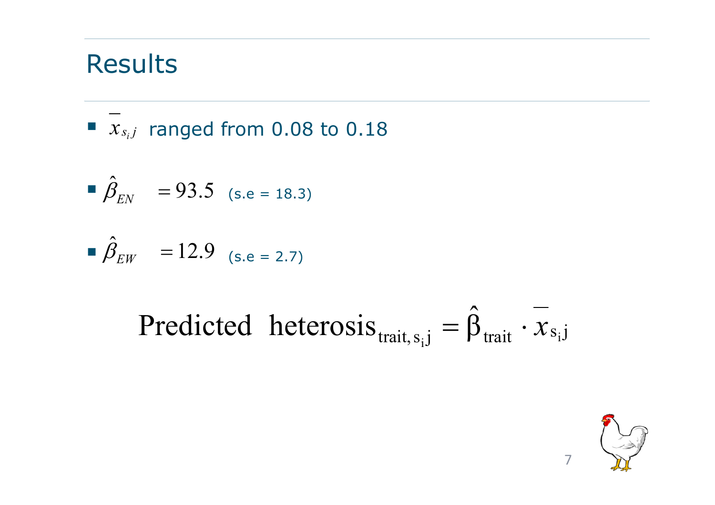## Results

$$
\blacksquare
$$
  $x_{s_i,j}$  ranged from 0.08 to 0.18

$$
\hat{\beta}_{EN} = 93.5
$$
 (s.e = 18.3)

$$
\hat{\beta}_{EW} = 12.9
$$
 (s.e = 2.7)

Predicted heterosis<sub>trait, s<sub>i</sub>j</sub> = 
$$
\hat{\beta}_{\text{trait}} \cdot \overline{x}_{s_i j}
$$

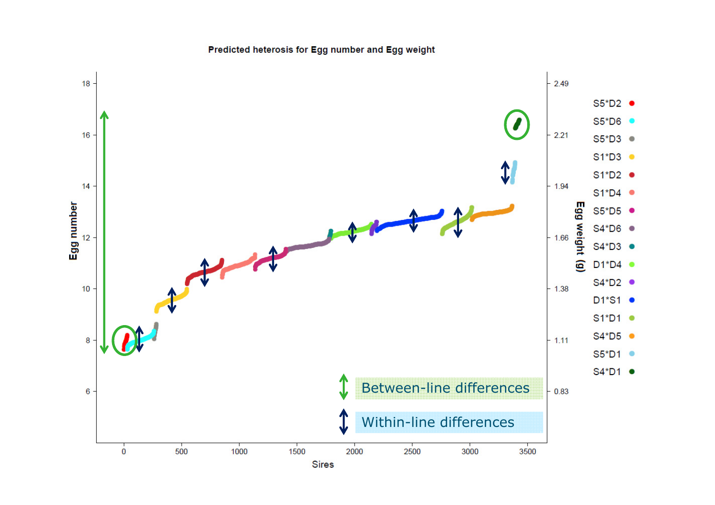Predicted heterosis for Egg number and Egg weight

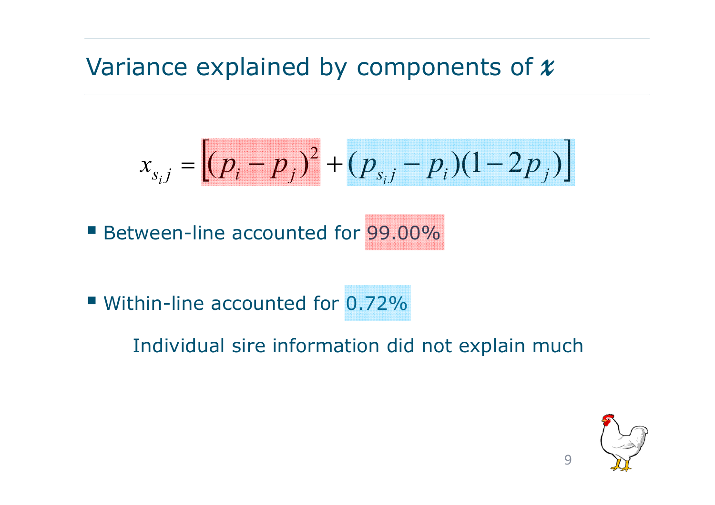## Variance explained by components of *x*

$$
x_{s_{i}j} = \left[ (p_{i} - p_{j})^{2} + (p_{s_{i}j} - p_{i})(1 - 2p_{j}) \right]
$$

Between-line accounted for 99.00%

■ Within-line accounted for 0.72%

### Individual sire information did not explain much

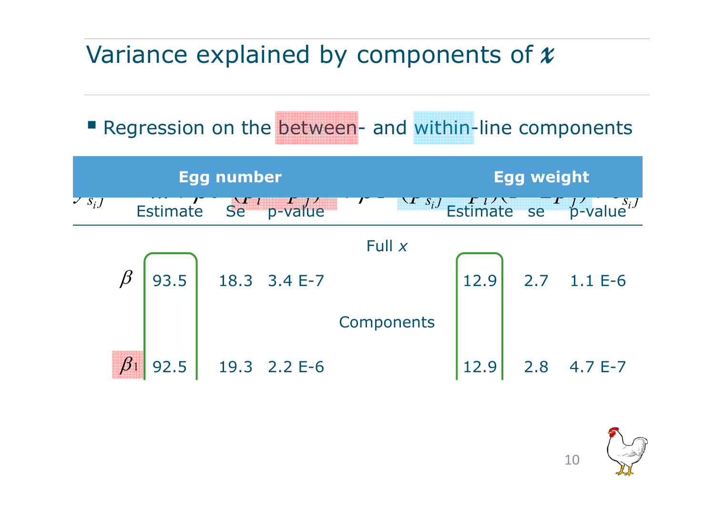## Variance explained by components of *x*

**Regression on the between- and within-line components** 

| <b>Egg number</b> |         |      |  |                                                  |            | <b>Egg weight</b> |      |     |                                                                                                                         |
|-------------------|---------|------|--|--------------------------------------------------|------------|-------------------|------|-----|-------------------------------------------------------------------------------------------------------------------------|
| $\sum s_i$        |         |      |  | Estimate $\frac{\sum_{l} P_{l}}{\sum_{l} P_{l}}$ |            |                   |      |     | $\begin{array}{ccc}\n\sqrt{r} & s_i J & \sqrt{r} & \sqrt{r} & \sqrt{r} & \sqrt{s_i} \\ \end{array}$ Estimate se p-value |
|                   |         |      |  |                                                  | Full $x$   |                   |      |     |                                                                                                                         |
|                   | $\beta$ | 93.5 |  | 18.3 3.4 E-7                                     |            |                   | 12.9 |     | 2.7 1.1 E-6                                                                                                             |
|                   |         |      |  |                                                  | Components |                   |      |     |                                                                                                                         |
|                   |         | 92.5 |  | 19.3 2.2 E-6                                     |            |                   |      | 2.8 | $4.7 E-7$                                                                                                               |

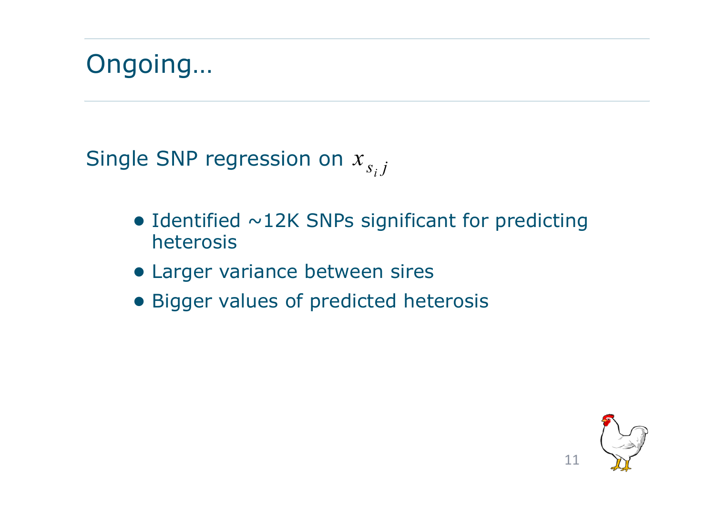

Single SNP regression on  $x_{s_{i}j}$ 

- $\bullet$  Identified  $\sim$ 12K SNPs significant for predicting heterosis
- **Larger variance between sires**
- Bigger values of predicted heterosis

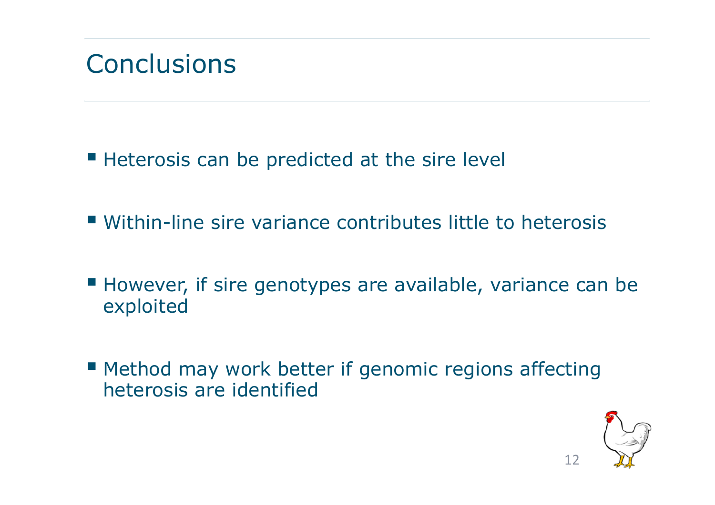## Conclusions

**Heterosis can be predicted at the sire level** 

- Within-line sire variance contributes little to heterosis
- However, if sire genotypes are available, variance can be exploited
- **Method may work better if genomic regions affecting** heterosis are identified

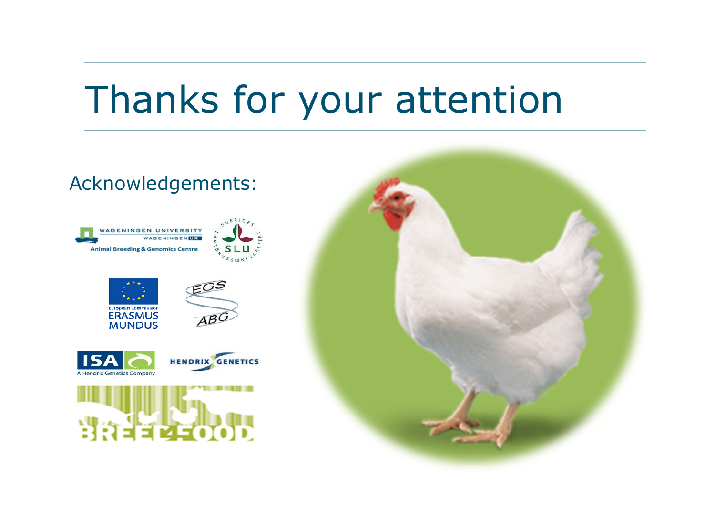# Thanks for your attention

#### Acknowledgements: